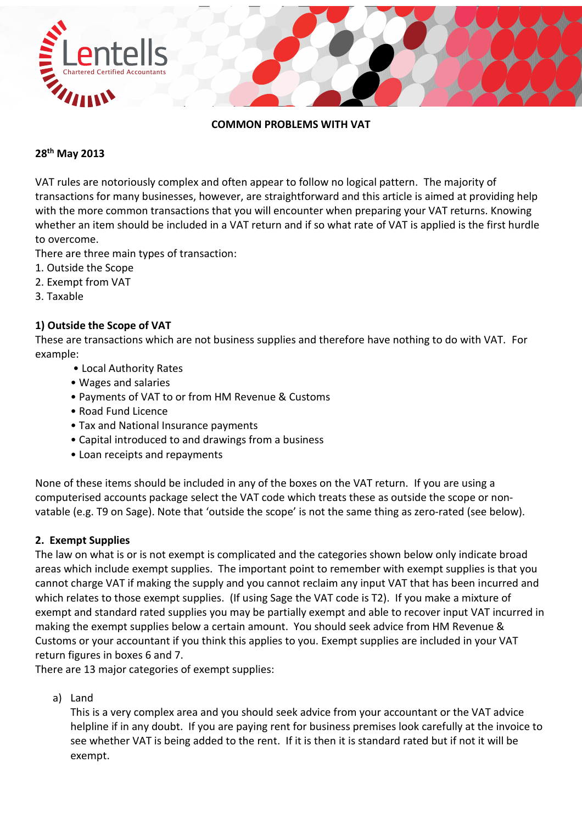

### **COMMON PROBLEMS WITH VAT**

## **28th May 2013**

VAT rules are notoriously complex and often appear to follow no logical pattern. The majority of transactions for many businesses, however, are straightforward and this article is aimed at providing help with the more common transactions that you will encounter when preparing your VAT returns. Knowing whether an item should be included in a VAT return and if so what rate of VAT is applied is the first hurdle to overcome.

There are three main types of transaction:

- 1. Outside the Scope
- 2. Exempt from VAT
- 3. Taxable

# **1) Outside the Scope of VAT**

These are transactions which are not business supplies and therefore have nothing to do with VAT. For example:

- Local Authority Rates
- Wages and salaries
- Payments of VAT to or from HM Revenue & Customs
- Road Fund Licence
- Tax and National Insurance payments
- Capital introduced to and drawings from a business
- Loan receipts and repayments

None of these items should be included in any of the boxes on the VAT return. If you are using a computerised accounts package select the VAT code which treats these as outside the scope or non‐ vatable (e.g. T9 on Sage). Note that 'outside the scope' is not the same thing as zero‐rated (see below).

### **2. Exempt Supplies**

The law on what is or is not exempt is complicated and the categories shown below only indicate broad areas which include exempt supplies. The important point to remember with exempt supplies is that you cannot charge VAT if making the supply and you cannot reclaim any input VAT that has been incurred and which relates to those exempt supplies. (If using Sage the VAT code is T2). If you make a mixture of exempt and standard rated supplies you may be partially exempt and able to recover input VAT incurred in making the exempt supplies below a certain amount. You should seek advice from HM Revenue & Customs or your accountant if you think this applies to you. Exempt supplies are included in your VAT return figures in boxes 6 and 7.

There are 13 major categories of exempt supplies:

a) Land

This is a very complex area and you should seek advice from your accountant or the VAT advice helpline if in any doubt. If you are paying rent for business premises look carefully at the invoice to see whether VAT is being added to the rent. If it is then it is standard rated but if not it will be exempt.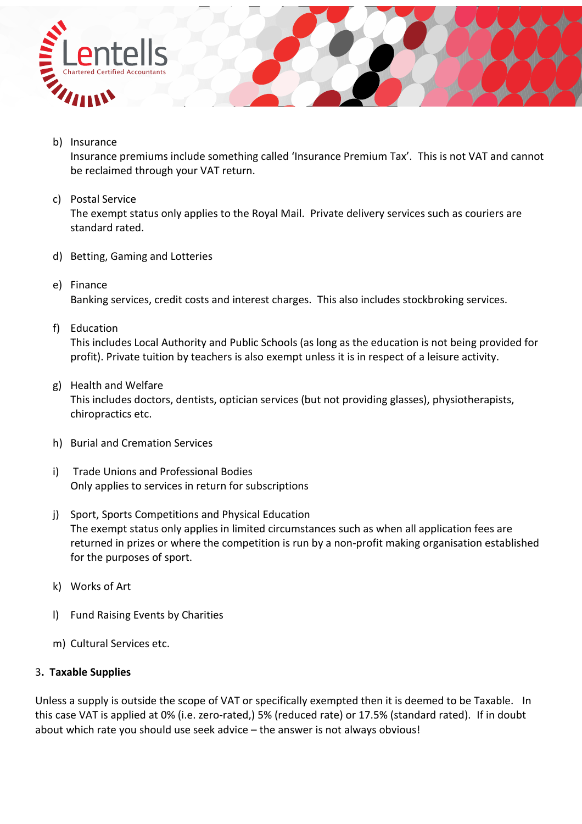

b) Insurance

Insurance premiums include something called 'Insurance Premium Tax'. This is not VAT and cannot be reclaimed through your VAT return.

c) Postal Service

The exempt status only applies to the Royal Mail. Private delivery services such as couriers are standard rated.

- d) Betting, Gaming and Lotteries
- e) Finance

Banking services, credit costs and interest charges. This also includes stockbroking services.

f) Education

This includes Local Authority and Public Schools (as long as the education is not being provided for profit). Private tuition by teachers is also exempt unless it is in respect of a leisure activity.

g) Health and Welfare

This includes doctors, dentists, optician services (but not providing glasses), physiotherapists, chiropractics etc.

- h) Burial and Cremation Services
- i) Trade Unions and Professional Bodies Only applies to services in return for subscriptions
- j) Sport, Sports Competitions and Physical Education The exempt status only applies in limited circumstances such as when all application fees are returned in prizes or where the competition is run by a non‐profit making organisation established for the purposes of sport.
- k) Works of Art
- l) Fund Raising Events by Charities
- m) Cultural Services etc.

# 3**. Taxable Supplies**

Unless a supply is outside the scope of VAT or specifically exempted then it is deemed to be Taxable. In this case VAT is applied at 0% (i.e. zero‐rated,) 5% (reduced rate) or 17.5% (standard rated). If in doubt about which rate you should use seek advice – the answer is not always obvious!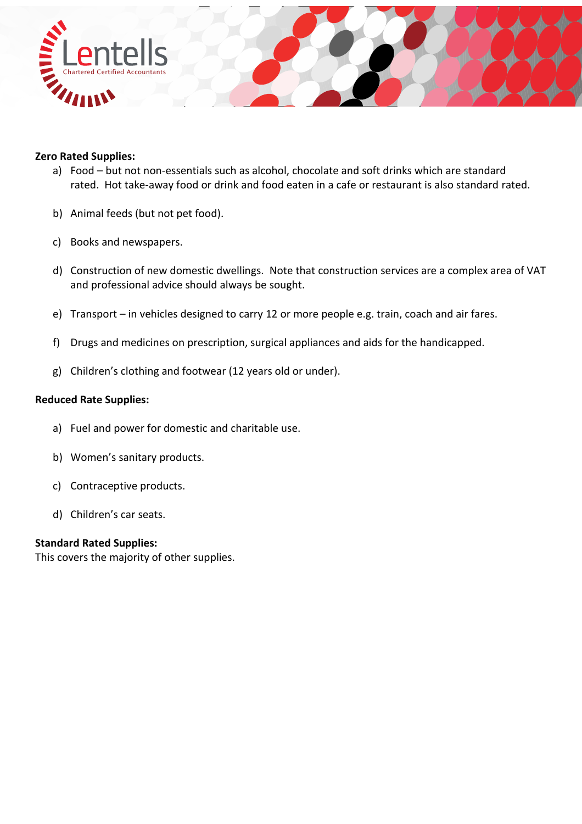

#### **Zero Rated Supplies:**

- a) Food but not non-essentials such as alcohol, chocolate and soft drinks which are standard rated. Hot take‐away food or drink and food eaten in a cafe or restaurant is also standard rated.
- b) Animal feeds (but not pet food).
- c) Books and newspapers.
- d) Construction of new domestic dwellings. Note that construction services are a complex area of VAT and professional advice should always be sought.
- e) Transport in vehicles designed to carry 12 or more people e.g. train, coach and air fares.
- f) Drugs and medicines on prescription, surgical appliances and aids for the handicapped.
- g) Children's clothing and footwear (12 years old or under).

### **Reduced Rate Supplies:**

- a) Fuel and power for domestic and charitable use.
- b) Women's sanitary products.
- c) Contraceptive products.
- d) Children's car seats.

### **Standard Rated Supplies:**

This covers the majority of other supplies.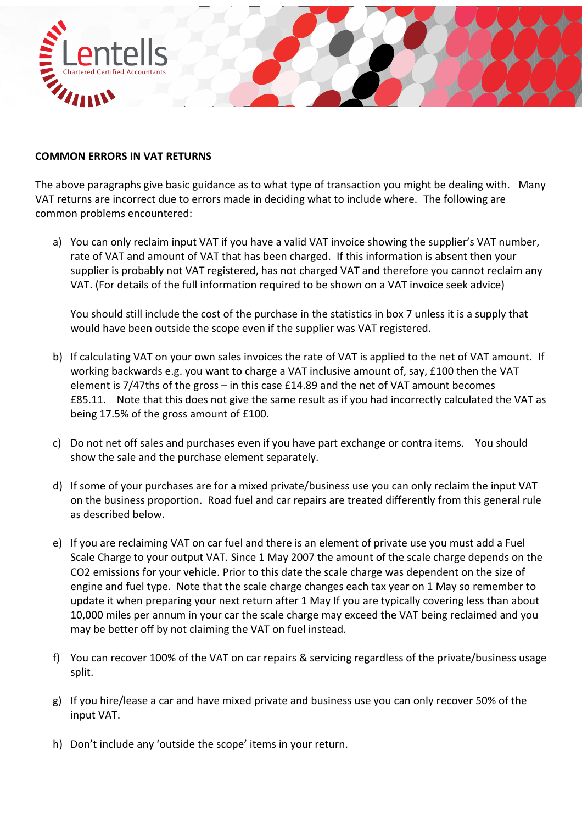

### **COMMON ERRORS IN VAT RETURNS**

The above paragraphs give basic guidance as to what type of transaction you might be dealing with. Many VAT returns are incorrect due to errors made in deciding what to include where. The following are common problems encountered:

a) You can only reclaim input VAT if you have a valid VAT invoice showing the supplier's VAT number, rate of VAT and amount of VAT that has been charged. If this information is absent then your supplier is probably not VAT registered, has not charged VAT and therefore you cannot reclaim any VAT. (For details of the full information required to be shown on a VAT invoice seek advice)

You should still include the cost of the purchase in the statistics in box 7 unless it is a supply that would have been outside the scope even if the supplier was VAT registered.

- b) If calculating VAT on your own sales invoices the rate of VAT is applied to the net of VAT amount. If working backwards e.g. you want to charge a VAT inclusive amount of, say, £100 then the VAT element is 7/47ths of the gross – in this case £14.89 and the net of VAT amount becomes £85.11. Note that this does not give the same result as if you had incorrectly calculated the VAT as being 17.5% of the gross amount of £100.
- c) Do not net off sales and purchases even if you have part exchange or contra items. You should show the sale and the purchase element separately.
- d) If some of your purchases are for a mixed private/business use you can only reclaim the input VAT on the business proportion. Road fuel and car repairs are treated differently from this general rule as described below.
- e) If you are reclaiming VAT on car fuel and there is an element of private use you must add a Fuel Scale Charge to your output VAT. Since 1 May 2007 the amount of the scale charge depends on the CO2 emissions for your vehicle. Prior to this date the scale charge was dependent on the size of engine and fuel type. Note that the scale charge changes each tax year on 1 May so remember to update it when preparing your next return after 1 May If you are typically covering less than about 10,000 miles per annum in your car the scale charge may exceed the VAT being reclaimed and you may be better off by not claiming the VAT on fuel instead.
- f) You can recover 100% of the VAT on car repairs & servicing regardless of the private/business usage split.
- g) If you hire/lease a car and have mixed private and business use you can only recover 50% of the input VAT.
- h) Don't include any 'outside the scope' items in your return.